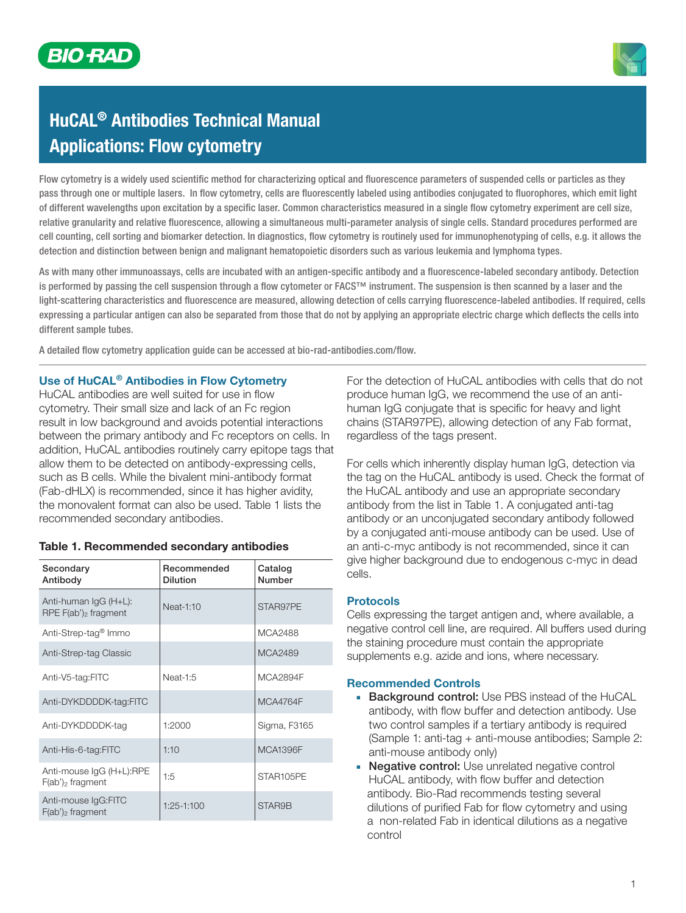

# HuCAL® Antibodies Technical Manual Applications: Flow cytometry

Flow cytometry is a widely used scientific method for characterizing optical and fluorescence parameters of suspended cells or particles as they pass through one or multiple lasers. In flow cytometry, cells are fluorescently labeled using antibodies conjugated to fluorophores, which emit light of different wavelengths upon excitation by a specific laser. Common characteristics measured in a single flow cytometry experiment are cell size, relative granularity and relative fluorescence, allowing a simultaneous multi-parameter analysis of single cells. Standard procedures performed are cell counting, cell sorting and biomarker detection. In diagnostics, flow cytometry is routinely used for immunophenotyping of cells, e.g. it allows the detection and distinction between benign and malignant hematopoietic disorders such as various leukemia and lymphoma types.

As with many other immunoassays, cells are incubated with an antigen-specific antibody and a fluorescence-labeled secondary antibody. Detection is performed by passing the cell suspension through a flow cytometer or FACS™ instrument. The suspension is then scanned by a laser and the light-scattering characteristics and fluorescence are measured, allowing detection of cells carrying fluorescence-labeled antibodies. If required, cells expressing a particular antigen can also be separated from those that do not by applying an appropriate electric charge which deflects the cells into different sample tubes.

A detailed flow cytometry application guide can be accessed at bio-rad-antibodies.com/flow.

### Use of HuCAL® Antibodies in Flow Cytometry

HuCAL antibodies are well suited for use in flow cytometry. Their small size and lack of an Fc region result in low background and avoids potential interactions between the primary antibody and Fc receptors on cells. In addition, HuCAL antibodies routinely carry epitope tags that allow them to be detected on antibody-expressing cells, such as B cells. While the bivalent mini-antibody format (Fab-dHLX) is recommended, since it has higher avidity, the monovalent format can also be used. Table 1 lists the recommended secondary antibodies.

| Secondary<br>Antibody                            | Recommended<br><b>Dilution</b> | Catalog<br>Number |
|--------------------------------------------------|--------------------------------|-------------------|
| Anti-human IgG (H+L):<br>RPE $F(ab')_2$ fragment | Neat-1:10                      | STAR97PE          |
| Anti-Strep-tag <sup>®</sup> Immo                 |                                | MCA2488           |
| Anti-Strep-tag Classic                           |                                | MCA2489           |
| Anti-V5-tag:FITC                                 | Neat-1:5                       | <b>MCA2894F</b>   |
| Anti-DYKDDDDK-tag:FITC                           |                                | <b>MCA4764F</b>   |
| Anti-DYKDDDDK-tag                                | 1:2000                         | Sigma, F3165      |
| Anti-His-6-tag:FITC                              | 1:10                           | <b>MCA1396F</b>   |
| Anti-mouse IgG (H+L):RPE<br>$F(ab')_2$ fragment  | 1:5                            | STAR105PE         |
| Anti-mouse IgG:FITC<br>$F(ab')_2$ fragment       | 1:25-1:100                     | STAR9B            |

#### Table 1. Recommended secondary antibodies

For the detection of HuCAL antibodies with cells that do not produce human IgG, we recommend the use of an antihuman IgG conjugate that is specific for heavy and light chains (STAR97PE), allowing detection of any Fab format, regardless of the tags present.

For cells which inherently display human IgG, detection via the tag on the HuCAL antibody is used. Check the format of the HuCAL antibody and use an appropriate secondary antibody from the list in Table 1. A conjugated anti-tag antibody or an unconjugated secondary antibody followed by a conjugated anti-mouse antibody can be used. Use of an anti-c-myc antibody is not recommended, since it can give higher background due to endogenous c-myc in dead cells.

#### Protocols

Cells expressing the target antigen and, where available, a negative control cell line, are required. All buffers used during the staining procedure must contain the appropriate supplements e.g. azide and ions, where necessary.

#### Recommended Controls

- **Background control: Use PBS instead of the HuCAL** antibody, with flow buffer and detection antibody. Use two control samples if a tertiary antibody is required (Sample 1: anti-tag + anti-mouse antibodies; Sample 2: anti-mouse antibody only)
- **■** Negative control: Use unrelated negative control HuCAL antibody, with flow buffer and detection antibody. Bio-Rad recommends testing several dilutions of purified Fab for flow cytometry and using a non-related Fab in identical dilutions as a negative control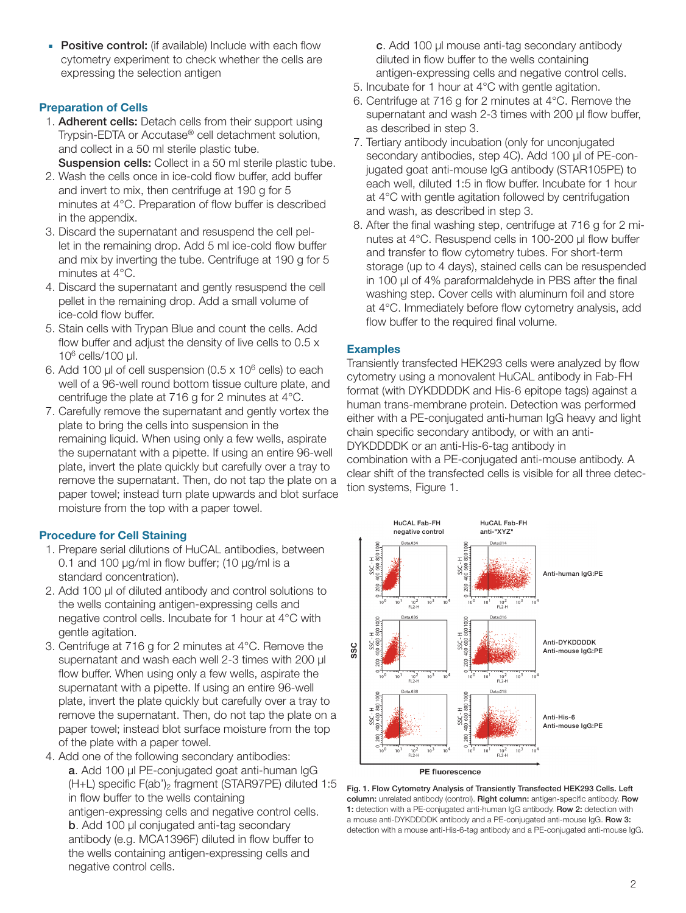**■** Positive control: (if available) Include with each flow cytometry experiment to check whether the cells are expressing the selection antigen

## Preparation of Cells

- 1. Adherent cells: Detach cells from their support using Trypsin-EDTA or Accutase® cell detachment solution, and collect in a 50 ml sterile plastic tube. Suspension cells: Collect in a 50 ml sterile plastic tube.
- 2. Wash the cells once in ice-cold flow buffer, add buffer and invert to mix, then centrifuge at 190 g for 5 minutes at 4°C. Preparation of flow buffer is described in the appendix.
- 3. Discard the supernatant and resuspend the cell pellet in the remaining drop. Add 5 ml ice-cold flow buffer and mix by inverting the tube. Centrifuge at 190 g for 5 minutes at 4°C.
- 4. Discard the supernatant and gently resuspend the cell pellet in the remaining drop. Add a small volume of ice-cold flow buffer.
- 5. Stain cells with Trypan Blue and count the cells. Add flow buffer and adjust the density of live cells to 0.5 x  $10^6$  cells/100 µl.
- 6. Add 100  $\mu$ l of cell suspension (0.5 x 10 $^6$  cells) to each well of a 96-well round bottom tissue culture plate, and centrifuge the plate at 716 g for 2 minutes at 4°C.
- 7. Carefully remove the supernatant and gently vortex the plate to bring the cells into suspension in the remaining liquid. When using only a few wells, aspirate the supernatant with a pipette. If using an entire 96-well plate, invert the plate quickly but carefully over a tray to remove the supernatant. Then, do not tap the plate on a paper towel; instead turn plate upwards and blot surface moisture from the top with a paper towel.

# Procedure for Cell Staining

- 1. Prepare serial dilutions of HuCAL antibodies, between 0.1 and 100 µg/ml in flow buffer; (10 µg/ml is a standard concentration).
- 2. Add 100 µl of diluted antibody and control solutions to the wells containing antigen-expressing cells and negative control cells. Incubate for 1 hour at 4°C with gentle agitation.
- 3. Centrifuge at 716 g for 2 minutes at 4°C. Remove the supernatant and wash each well 2-3 times with 200  $\mu$ l flow buffer. When using only a few wells, aspirate the supernatant with a pipette. If using an entire 96-well plate, invert the plate quickly but carefully over a tray to remove the supernatant. Then, do not tap the plate on a paper towel; instead blot surface moisture from the top of the plate with a paper towel.
- 4. Add one of the following secondary antibodies: a. Add 100 µl PE-conjugated goat anti-human IgG (H+L) specific F(ab')2 fragment (STAR97PE) diluted 1:5 in flow buffer to the wells containing antigen-expressing cells and negative control cells. b. Add 100 µl conjugated anti-tag secondary antibody (e.g. MCA1396F) diluted in flow buffer to the wells containing antigen-expressing cells and negative control cells.

c. Add 100 µl mouse anti-tag secondary antibody diluted in flow buffer to the wells containing antigen-expressing cells and negative control cells.

- 5. Incubate for 1 hour at 4°C with gentle agitation.
- 6. Centrifuge at 716 g for 2 minutes at 4°C. Remove the supernatant and wash 2-3 times with 200 µl flow buffer, as described in step 3.
- 7. Tertiary antibody incubation (only for unconjugated secondary antibodies, step 4C). Add 100 µl of PE-conjugated goat anti-mouse IgG antibody (STAR105PE) to each well, diluted 1:5 in flow buffer. Incubate for 1 hour at 4°C with gentle agitation followed by centrifugation and wash, as described in step 3.
- 8. After the final washing step, centrifuge at 716 g for 2 minutes at 4°C. Resuspend cells in 100-200 µl flow buffer and transfer to flow cytometry tubes. For short-term storage (up to 4 days), stained cells can be resuspended in 100 µl of 4% paraformaldehyde in PBS after the final washing step. Cover cells with aluminum foil and store at 4°C. Immediately before flow cytometry analysis, add flow buffer to the required final volume.

## Examples

Transiently transfected HEK293 cells were analyzed by flow cytometry using a monovalent HuCAL antibody in Fab-FH format (with DYKDDDDK and His-6 epitope tags) against a human trans-membrane protein. Detection was performed either with a PE-conjugated anti-human IgG heavy and light chain specific secondary antibody, or with an anti-DYKDDDDK or an anti-His-6-tag antibody in combination with a PE-conjugated anti-mouse antibody. A clear shift of the transfected cells is visible for all three detection systems, Figure 1.



Fig. 1. Flow Cytometry Analysis of Transiently Transfected HEK293 Cells. Left column: unrelated antibody (control). Right column: antigen-specific antibody. Row 1: detection with a PE-conjugated anti-human IgG antibody. Row 2: detection with a mouse anti-DYKDDDDK antibody and a PE-conjugated anti-mouse IgG. Row 3: detection with a mouse anti-His-6-tag antibody and a PE-conjugated anti-mouse IgG.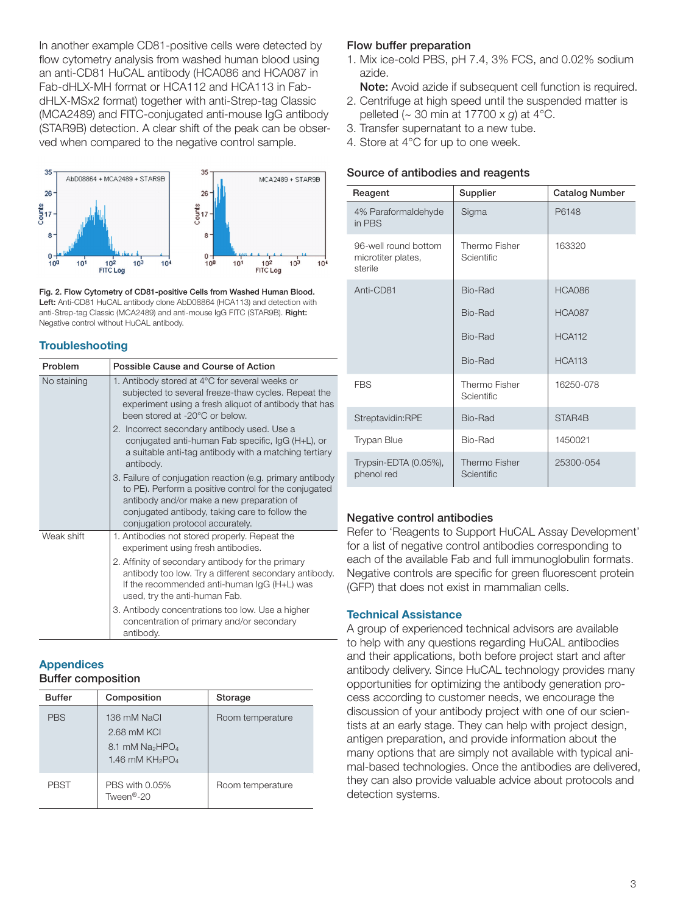In another example CD81-positive cells were detected by flow cytometry analysis from washed human blood using an anti-CD81 HuCAL antibody (HCA086 and HCA087 in Fab-dHLX-MH format or HCA112 and HCA113 in FabdHLX-MSx2 format) together with anti-Strep-tag Classic (MCA2489) and FITC-conjugated anti-mouse IgG antibody (STAR9B) detection. A clear shift of the peak can be observed when compared to the negative control sample.



Fig. 2. Flow Cytometry of CD81-positive Cells from Washed Human Blood. Left: Anti-CD81 HuCAL antibody clone AbD08864 (HCA113) and detection with anti-Strep-tag Classic (MCA2489) and anti-mouse IgG FITC (STAR9B). Right: Negative control without HuCAL antibody.

## **Troubleshooting**

| Problem     | Possible Cause and Course of Action                                                                                                                                                                                                                   |  |  |
|-------------|-------------------------------------------------------------------------------------------------------------------------------------------------------------------------------------------------------------------------------------------------------|--|--|
| No staining | 1. Antibody stored at 4°C for several weeks or<br>subjected to several freeze-thaw cycles. Repeat the<br>experiment using a fresh aliquot of antibody that has<br>been stored at -20°C or below.                                                      |  |  |
|             | 2. Incorrect secondary antibody used. Use a<br>conjugated anti-human Fab specific, IgG (H+L), or<br>a suitable anti-tag antibody with a matching tertiary<br>antibody.                                                                                |  |  |
|             | 3. Failure of conjugation reaction (e.g. primary antibody<br>to PE). Perform a positive control for the conjugated<br>antibody and/or make a new preparation of<br>conjugated antibody, taking care to follow the<br>conjugation protocol accurately. |  |  |
| Weak shift  | 1. Antibodies not stored properly. Repeat the<br>experiment using fresh antibodies.                                                                                                                                                                   |  |  |
|             | 2. Affinity of secondary antibody for the primary<br>antibody too low. Try a different secondary antibody.<br>If the recommended anti-human IgG (H+L) was<br>used, try the anti-human Fab.                                                            |  |  |
|             | 3. Antibody concentrations too low. Use a higher<br>concentration of primary and/or secondary<br>antibody.                                                                                                                                            |  |  |

# Appendices

## Buffer composition

| <b>Buffer</b> | Composition                                                          | Storage          |
|---------------|----------------------------------------------------------------------|------------------|
| <b>PBS</b>    | 136 mM NaCl<br>2.68 mM KCI<br>8.1 mM $Na2HPO4$<br>1.46 mM $KH_2PO_4$ | Room temperature |
| PBST          | PBS with 0.05%<br>Tween <sup>®</sup> -20                             | Room temperature |

# Flow buffer preparation

- 1. Mix ice-cold PBS, pH 7.4, 3% FCS, and 0.02% sodium azide.
	- Note: Avoid azide if subsequent cell function is required.
- 2. Centrifuge at high speed until the suspended matter is pelleted (~ 30 min at 17700 x *g*) at 4°C.
- 3. Transfer supernatant to a new tube.
- 4. Store at 4°C for up to one week.

# Source of antibodies and reagents

| Reagent                                               | Supplier                           | <b>Catalog Number</b> |
|-------------------------------------------------------|------------------------------------|-----------------------|
| 4% Paraformaldehyde<br>in PBS                         | Sigma                              | P6148                 |
| 96-well round bottom<br>microtiter plates,<br>sterile | Thermo Fisher<br><b>Scientific</b> | 163320                |
| Anti-CD81                                             | Bio-Rad                            | <b>HCA086</b>         |
|                                                       | Bio-Rad                            | <b>HCA087</b>         |
|                                                       | Bio-Rad                            | <b>HCA112</b>         |
|                                                       | Bio-Rad                            | <b>HCA113</b>         |
| <b>FBS</b>                                            | Thermo Fisher<br>Scientific        | 16250-078             |
| Streptavidin:RPE                                      | Bio-Rad                            | STAR4B                |
| <b>Trypan Blue</b>                                    | Bio-Rad                            | 1450021               |
| Trypsin-EDTA (0.05%),<br>phenol red                   | Thermo Fisher<br>Scientific        | 25300-054             |

# Negative control antibodies

Refer to 'Reagents to Support HuCAL Assay Development' for a list of negative control antibodies corresponding to each of the available Fab and full immunoglobulin formats. Negative controls are specific for green fluorescent protein (GFP) that does not exist in mammalian cells.

# Technical Assistance

A group of experienced technical advisors are available to help with any questions regarding HuCAL antibodies and their applications, both before project start and after antibody delivery. Since HuCAL technology provides many opportunities for optimizing the antibody generation process according to customer needs, we encourage the discussion of your antibody project with one of our scientists at an early stage. They can help with project design, antigen preparation, and provide information about the many options that are simply not available with typical animal-based technologies. Once the antibodies are delivered, they can also provide valuable advice about protocols and detection systems.